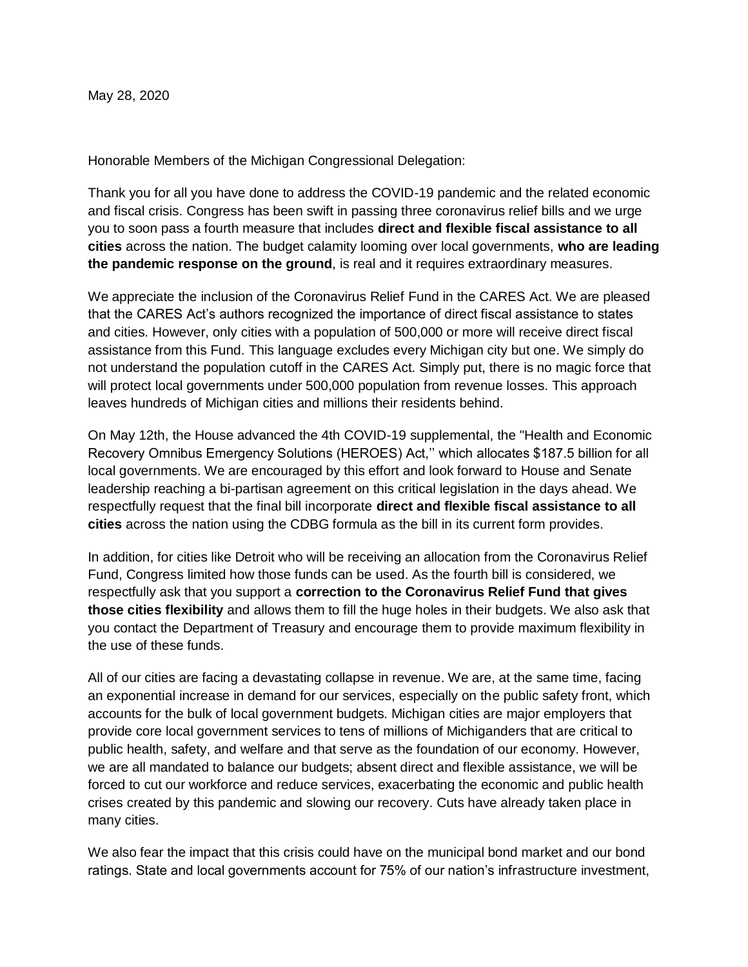May 28, 2020

Honorable Members of the Michigan Congressional Delegation:

Thank you for all you have done to address the COVID-19 pandemic and the related economic and fiscal crisis. Congress has been swift in passing three coronavirus relief bills and we urge you to soon pass a fourth measure that includes **direct and flexible fiscal assistance to all cities** across the nation. The budget calamity looming over local governments, **who are leading the pandemic response on the ground**, is real and it requires extraordinary measures.

We appreciate the inclusion of the Coronavirus Relief Fund in the CARES Act. We are pleased that the CARES Act's authors recognized the importance of direct fiscal assistance to states and cities. However, only cities with a population of 500,000 or more will receive direct fiscal assistance from this Fund. This language excludes every Michigan city but one. We simply do not understand the population cutoff in the CARES Act. Simply put, there is no magic force that will protect local governments under 500,000 population from revenue losses. This approach leaves hundreds of Michigan cities and millions their residents behind.

On May 12th, the House advanced the 4th COVID-19 supplemental, the "Health and Economic Recovery Omnibus Emergency Solutions (HEROES) Act,'' which allocates \$187.5 billion for all local governments. We are encouraged by this effort and look forward to House and Senate leadership reaching a bi-partisan agreement on this critical legislation in the days ahead. We respectfully request that the final bill incorporate **direct and flexible fiscal assistance to all cities** across the nation using the CDBG formula as the bill in its current form provides.

In addition, for cities like Detroit who will be receiving an allocation from the Coronavirus Relief Fund, Congress limited how those funds can be used. As the fourth bill is considered, we respectfully ask that you support a **correction to the Coronavirus Relief Fund that gives those cities flexibility** and allows them to fill the huge holes in their budgets. We also ask that you contact the Department of Treasury and encourage them to provide maximum flexibility in the use of these funds.

All of our cities are facing a devastating collapse in revenue. We are, at the same time, facing an exponential increase in demand for our services, especially on the public safety front, which accounts for the bulk of local government budgets. Michigan cities are major employers that provide core local government services to tens of millions of Michiganders that are critical to public health, safety, and welfare and that serve as the foundation of our economy. However, we are all mandated to balance our budgets; absent direct and flexible assistance, we will be forced to cut our workforce and reduce services, exacerbating the economic and public health crises created by this pandemic and slowing our recovery. Cuts have already taken place in many cities.

We also fear the impact that this crisis could have on the municipal bond market and our bond ratings. State and local governments account for 75% of our nation's infrastructure investment,